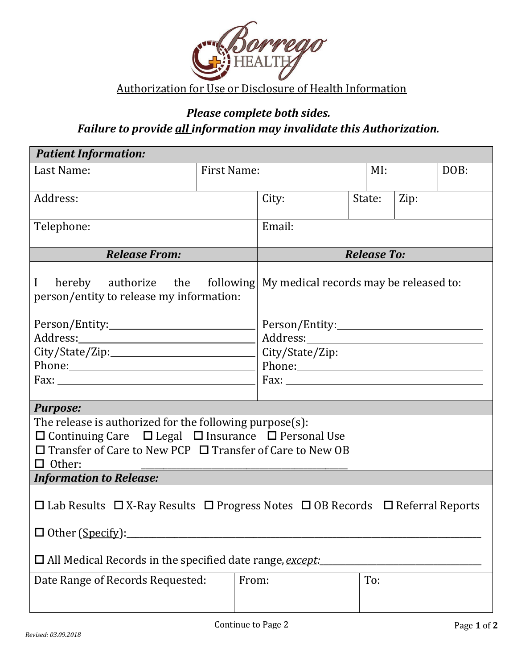

# *Please complete both sides. Failure to provide all information may invalidate this Authorization.*

| <b>Patient Information:</b>                                                                                                                      |                    |                    |                                                         |                |  |      |  |  |
|--------------------------------------------------------------------------------------------------------------------------------------------------|--------------------|--------------------|---------------------------------------------------------|----------------|--|------|--|--|
| Last Name:                                                                                                                                       | <b>First Name:</b> |                    |                                                         | MI:            |  | DOB: |  |  |
| Address:                                                                                                                                         |                    | City:              |                                                         | State:<br>Zip: |  |      |  |  |
| Telephone:                                                                                                                                       |                    | Email:             |                                                         |                |  |      |  |  |
| <b>Release From:</b>                                                                                                                             |                    | <b>Release To:</b> |                                                         |                |  |      |  |  |
| I hereby authorize the following My medical records may be released to:<br>person/entity to release my information:                              |                    |                    |                                                         |                |  |      |  |  |
|                                                                                                                                                  |                    |                    |                                                         |                |  |      |  |  |
|                                                                                                                                                  |                    |                    |                                                         |                |  |      |  |  |
|                                                                                                                                                  |                    |                    |                                                         |                |  |      |  |  |
| Phone: 2008 and 2008 and 2008 and 2008 and 2008 and 2008 and 2008 and 2008 and 2008 and 2008 and 2008 and 2008                                   |                    |                    |                                                         |                |  |      |  |  |
|                                                                                                                                                  |                    |                    | Fax: $\frac{1}{\sqrt{1-\frac{1}{2}} \cdot \frac{1}{2}}$ |                |  |      |  |  |
|                                                                                                                                                  |                    |                    |                                                         |                |  |      |  |  |
| <b>Purpose:</b>                                                                                                                                  |                    |                    |                                                         |                |  |      |  |  |
| The release is authorized for the following purpose(s):                                                                                          |                    |                    |                                                         |                |  |      |  |  |
| $\Box$ Continuing Care $\Box$ Legal $\Box$ Insurance $\Box$ Personal Use<br>$\Box$ Transfer of Care to New PCP $\Box$ Transfer of Care to New OB |                    |                    |                                                         |                |  |      |  |  |
| $\Box$ Other:                                                                                                                                    |                    |                    |                                                         |                |  |      |  |  |
| <b>Information to Release:</b>                                                                                                                   |                    |                    |                                                         |                |  |      |  |  |
|                                                                                                                                                  |                    |                    |                                                         |                |  |      |  |  |
| $\Box$ Lab Results $\Box$ X-Ray Results $\Box$ Progress Notes $\Box$ OB Records $\Box$ Referral Reports                                          |                    |                    |                                                         |                |  |      |  |  |
| □ Other (Specify):                                                                                                                               |                    |                    |                                                         |                |  |      |  |  |
| $\Box$ All Medical Records in the specified date range, except:                                                                                  |                    |                    |                                                         |                |  |      |  |  |
| Date Range of Records Requested:                                                                                                                 |                    | From:              |                                                         | To:            |  |      |  |  |
|                                                                                                                                                  |                    |                    |                                                         |                |  |      |  |  |